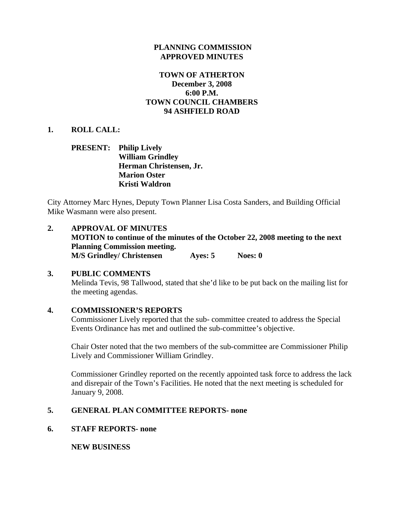### **PLANNING COMMISSION APPROVED MINUTES**

### **TOWN OF ATHERTON December 3, 2008 6:00 P.M. TOWN COUNCIL CHAMBERS 94 ASHFIELD ROAD**

### **1. ROLL CALL:**

### **PRESENT: Philip Lively William Grindley Herman Christensen, Jr. Marion Oster Kristi Waldron**

City Attorney Marc Hynes, Deputy Town Planner Lisa Costa Sanders, and Building Official Mike Wasmann were also present.

# **2. APPROVAL OF MINUTES**

**MOTION to continue of the minutes of the October 22, 2008 meeting to the next Planning Commission meeting. M/S Grindley/ Christensen Ayes: 5 Noes: 0** 

### **3. PUBLIC COMMENTS**

Melinda Tevis, 98 Tallwood, stated that she'd like to be put back on the mailing list for the meeting agendas.

### **4. COMMISSIONER'S REPORTS**

Commissioner Lively reported that the sub- committee created to address the Special Events Ordinance has met and outlined the sub-committee's objective.

Chair Oster noted that the two members of the sub-committee are Commissioner Philip Lively and Commissioner William Grindley.

Commissioner Grindley reported on the recently appointed task force to address the lack and disrepair of the Town's Facilities. He noted that the next meeting is scheduled for January 9, 2008.

# **5. GENERAL PLAN COMMITTEE REPORTS- none**

### **6. STAFF REPORTS- none**

 **NEW BUSINESS**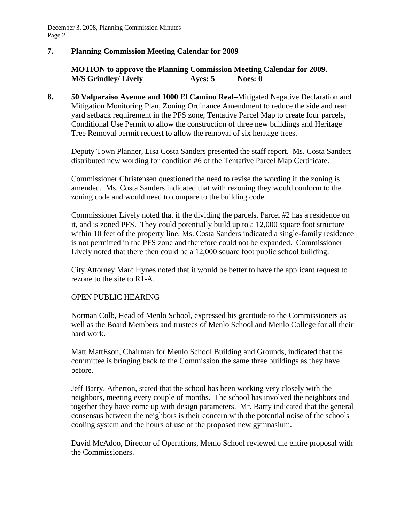# **7. Planning Commission Meeting Calendar for 2009**

**MOTION to approve the Planning Commission Meeting Calendar for 2009. M/S Grindley/ Lively Ayes: 5** Noes: 0

**8. 50 Valparaiso Avenue and 1000 El Camino Real–**Mitigated Negative Declaration and Mitigation Monitoring Plan, Zoning Ordinance Amendment to reduce the side and rear yard setback requirement in the PFS zone, Tentative Parcel Map to create four parcels, Conditional Use Permit to allow the construction of three new buildings and Heritage Tree Removal permit request to allow the removal of six heritage trees.

Deputy Town Planner, Lisa Costa Sanders presented the staff report. Ms. Costa Sanders distributed new wording for condition #6 of the Tentative Parcel Map Certificate.

 Commissioner Christensen questioned the need to revise the wording if the zoning is amended. Ms. Costa Sanders indicated that with rezoning they would conform to the zoning code and would need to compare to the building code.

 Commissioner Lively noted that if the dividing the parcels, Parcel #2 has a residence on it, and is zoned PFS. They could potentially build up to a 12,000 square foot structure within 10 feet of the property line. Ms. Costa Sanders indicated a single-family residence is not permitted in the PFS zone and therefore could not be expanded. Commissioner Lively noted that there then could be a 12,000 square foot public school building.

 City Attorney Marc Hynes noted that it would be better to have the applicant request to rezone to the site to R1-A.

### OPEN PUBLIC HEARING

 Norman Colb, Head of Menlo School, expressed his gratitude to the Commissioners as well as the Board Members and trustees of Menlo School and Menlo College for all their hard work.

 Matt MattEson, Chairman for Menlo School Building and Grounds, indicated that the committee is bringing back to the Commission the same three buildings as they have before.

 Jeff Barry, Atherton, stated that the school has been working very closely with the neighbors, meeting every couple of months. The school has involved the neighbors and together they have come up with design parameters. Mr. Barry indicated that the general consensus between the neighbors is their concern with the potential noise of the schools cooling system and the hours of use of the proposed new gymnasium.

 David McAdoo, Director of Operations, Menlo School reviewed the entire proposal with the Commissioners.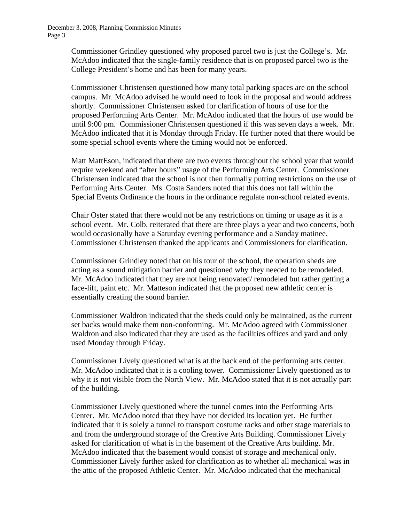> Commissioner Grindley questioned why proposed parcel two is just the College's. Mr. McAdoo indicated that the single-family residence that is on proposed parcel two is the College President's home and has been for many years.

 Commissioner Christensen questioned how many total parking spaces are on the school campus. Mr. McAdoo advised he would need to look in the proposal and would address shortly. Commissioner Christensen asked for clarification of hours of use for the proposed Performing Arts Center. Mr. McAdoo indicated that the hours of use would be until 9:00 pm. Commissioner Christensen questioned if this was seven days a week. Mr. McAdoo indicated that it is Monday through Friday. He further noted that there would be some special school events where the timing would not be enforced.

 Matt MattEson, indicated that there are two events throughout the school year that would require weekend and "after hours" usage of the Performing Arts Center. Commissioner Christensen indicated that the school is not then formally putting restrictions on the use of Performing Arts Center. Ms. Costa Sanders noted that this does not fall within the Special Events Ordinance the hours in the ordinance regulate non-school related events.

 Chair Oster stated that there would not be any restrictions on timing or usage as it is a school event. Mr. Colb, reiterated that there are three plays a year and two concerts, both would occasionally have a Saturday evening performance and a Sunday matinee. Commissioner Christensen thanked the applicants and Commissioners for clarification.

 Commissioner Grindley noted that on his tour of the school, the operation sheds are acting as a sound mitigation barrier and questioned why they needed to be remodeled. Mr. McAdoo indicated that they are not being renovated/ remodeled but rather getting a face-lift, paint etc. Mr. Matteson indicated that the proposed new athletic center is essentially creating the sound barrier.

 Commissioner Waldron indicated that the sheds could only be maintained, as the current set backs would make them non-conforming. Mr. McAdoo agreed with Commissioner Waldron and also indicated that they are used as the facilities offices and yard and only used Monday through Friday.

 Commissioner Lively questioned what is at the back end of the performing arts center. Mr. McAdoo indicated that it is a cooling tower. Commissioner Lively questioned as to why it is not visible from the North View. Mr. McAdoo stated that it is not actually part of the building.

 Commissioner Lively questioned where the tunnel comes into the Performing Arts Center. Mr. McAdoo noted that they have not decided its location yet. He further indicated that it is solely a tunnel to transport costume racks and other stage materials to and from the underground storage of the Creative Arts Building. Commissioner Lively asked for clarification of what is in the basement of the Creative Arts building. Mr. McAdoo indicated that the basement would consist of storage and mechanical only. Commissioner Lively further asked for clarification as to whether all mechanical was in the attic of the proposed Athletic Center. Mr. McAdoo indicated that the mechanical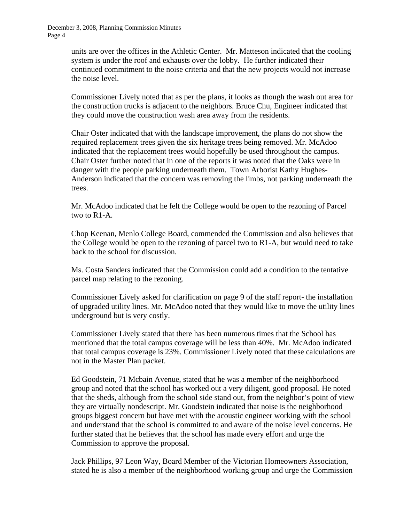> units are over the offices in the Athletic Center. Mr. Matteson indicated that the cooling system is under the roof and exhausts over the lobby. He further indicated their continued commitment to the noise criteria and that the new projects would not increase the noise level.

> Commissioner Lively noted that as per the plans, it looks as though the wash out area for the construction trucks is adjacent to the neighbors. Bruce Chu, Engineer indicated that they could move the construction wash area away from the residents.

> Chair Oster indicated that with the landscape improvement, the plans do not show the required replacement trees given the six heritage trees being removed. Mr. McAdoo indicated that the replacement trees would hopefully be used throughout the campus. Chair Oster further noted that in one of the reports it was noted that the Oaks were in danger with the people parking underneath them. Town Arborist Kathy Hughes-Anderson indicated that the concern was removing the limbs, not parking underneath the trees.

 Mr. McAdoo indicated that he felt the College would be open to the rezoning of Parcel two to R1-A.

 Chop Keenan, Menlo College Board, commended the Commission and also believes that the College would be open to the rezoning of parcel two to R1-A, but would need to take back to the school for discussion.

 Ms. Costa Sanders indicated that the Commission could add a condition to the tentative parcel map relating to the rezoning.

 Commissioner Lively asked for clarification on page 9 of the staff report- the installation of upgraded utility lines. Mr. McAdoo noted that they would like to move the utility lines underground but is very costly.

 Commissioner Lively stated that there has been numerous times that the School has mentioned that the total campus coverage will be less than 40%. Mr. McAdoo indicated that total campus coverage is 23%. Commissioner Lively noted that these calculations are not in the Master Plan packet.

 Ed Goodstein, 71 Mcbain Avenue, stated that he was a member of the neighborhood group and noted that the school has worked out a very diligent, good proposal. He noted that the sheds, although from the school side stand out, from the neighbor's point of view they are virtually nondescript. Mr. Goodstein indicated that noise is the neighborhood groups biggest concern but have met with the acoustic engineer working with the school and understand that the school is committed to and aware of the noise level concerns. He further stated that he believes that the school has made every effort and urge the Commission to approve the proposal.

 Jack Phillips, 97 Leon Way, Board Member of the Victorian Homeowners Association, stated he is also a member of the neighborhood working group and urge the Commission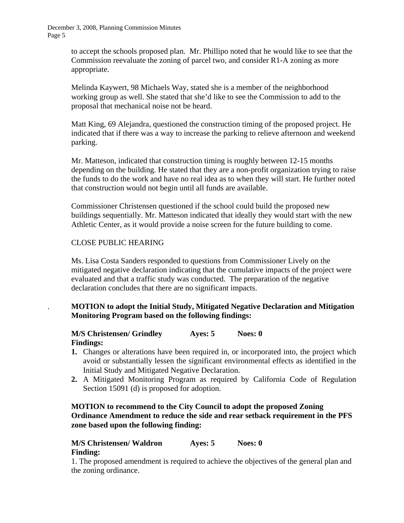> to accept the schools proposed plan. Mr. Phillipo noted that he would like to see that the Commission reevaluate the zoning of parcel two, and consider R1-A zoning as more appropriate.

 Melinda Kaywert, 98 Michaels Way, stated she is a member of the neighborhood working group as well. She stated that she'd like to see the Commission to add to the proposal that mechanical noise not be heard.

 Matt King, 69 Alejandra, questioned the construction timing of the proposed project. He indicated that if there was a way to increase the parking to relieve afternoon and weekend parking.

 Mr. Matteson, indicated that construction timing is roughly between 12-15 months depending on the building. He stated that they are a non-profit organization trying to raise the funds to do the work and have no real idea as to when they will start. He further noted that construction would not begin until all funds are available.

 Commissioner Christensen questioned if the school could build the proposed new buildings sequentially. Mr. Matteson indicated that ideally they would start with the new Athletic Center, as it would provide a noise screen for the future building to come.

### CLOSE PUBLIC HEARING

 Ms. Lisa Costa Sanders responded to questions from Commissioner Lively on the mitigated negative declaration indicating that the cumulative impacts of the project were evaluated and that a traffic study was conducted. The preparation of the negative declaration concludes that there are no significant impacts.

# . **MOTION to adopt the Initial Study, Mitigated Negative Declaration and Mitigation Monitoring Program based on the following findings:**

#### **M/S Christensen/ Grindley Ayes: 5 Noes: 0 Findings:**

- **1.** Changes or alterations have been required in, or incorporated into, the project which avoid or substantially lessen the significant environmental effects as identified in the Initial Study and Mitigated Negative Declaration.
- **2.** A Mitigated Monitoring Program as required by California Code of Regulation Section 15091 (d) is proposed for adoption.

# **MOTION to recommend to the City Council to adopt the proposed Zoning Ordinance Amendment to reduce the side and rear setback requirement in the PFS zone based upon the following finding:**

### **M/S Christensen/ Waldron Ayes: 5 Noes: 0 Finding:**

1. The proposed amendment is required to achieve the objectives of the general plan and the zoning ordinance.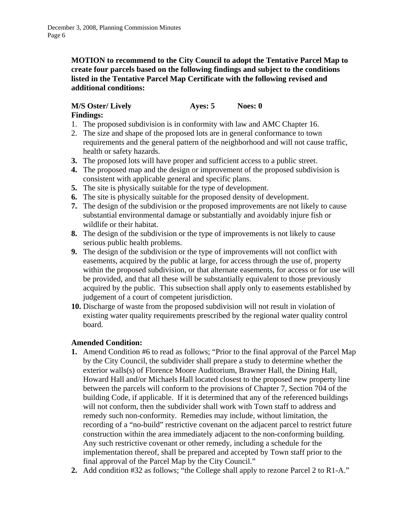**MOTION to recommend to the City Council to adopt the Tentative Parcel Map to create four parcels based on the following findings and subject to the conditions listed in the Tentative Parcel Map Certificate with the following revised and additional conditions:** 

# **M/S Oster/ Lively Ayes: 5** Noes: 0

# **Findings:**

- 1. The proposed subdivision is in conformity with law and AMC Chapter 16.
- 2. The size and shape of the proposed lots are in general conformance to town requirements and the general pattern of the neighborhood and will not cause traffic, health or safety hazards.
- **3.** The proposed lots will have proper and sufficient access to a public street.
- **4.** The proposed map and the design or improvement of the proposed subdivision is consistent with applicable general and specific plans.
- **5.** The site is physically suitable for the type of development.
- **6.** The site is physically suitable for the proposed density of development.
- **7.** The design of the subdivision or the proposed improvements are not likely to cause substantial environmental damage or substantially and avoidably injure fish or wildlife or their habitat.
- **8.** The design of the subdivision or the type of improvements is not likely to cause serious public health problems.
- **9.** The design of the subdivision or the type of improvements will not conflict with easements, acquired by the public at large, for access through the use of, property within the proposed subdivision, or that alternate easements, for access or for use will be provided, and that all these will be substantially equivalent to those previously acquired by the public. This subsection shall apply only to easements established by judgement of a court of competent jurisdiction.
- **10.** Discharge of waste from the proposed subdivision will not result in violation of existing water quality requirements prescribed by the regional water quality control board.

# **Amended Condition:**

- **1.** Amend Condition #6 to read as follows; "Prior to the final approval of the Parcel Map by the City Council, the subdivider shall prepare a study to determine whether the exterior walls(s) of Florence Moore Auditorium, Brawner Hall, the Dining Hall, Howard Hall and/or Michaels Hall located closest to the proposed new property line between the parcels will conform to the provisions of Chapter 7, Section 704 of the building Code, if applicable. If it is determined that any of the referenced buildings will not conform, then the subdivider shall work with Town staff to address and remedy such non-conformity. Remedies may include, without limitation, the recording of a "no-build" restrictive covenant on the adjacent parcel to restrict future construction within the area immediately adjacent to the non-conforming building. Any such restrictive covenant or other remedy, including a schedule for the implementation thereof, shall be prepared and accepted by Town staff prior to the final approval of the Parcel Map by the City Council."
- **2.** Add condition #32 as follows; "the College shall apply to rezone Parcel 2 to R1-A."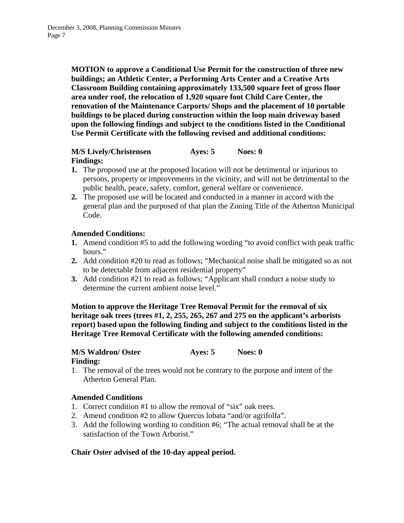**MOTION to approve a Conditional Use Permit for the construction of three new buildings; an Athletic Center, a Performing Arts Center and a Creative Arts Classroom Building containing approximately 133,500 square feet of gross floor area under roof, the relocation of 1,920 square foot Child Care Center, the renovation of the Maintenance Carports/ Shops and the placement of 10 portable buildings to be placed during construction within the loop main driveway based upon the following findings and subject to the conditions listed in the Conditional Use Permit Certificate with the following revised and additional conditions:** 

### **M/S Lively/Christensen Ayes: 5** Noes: 0 **Findings:**

- **1.** The proposed use at the proposed location will not be detrimental or injurious to persons, property or improvements in the vicinity, and will not be detrimental to the public health, peace, safety, comfort, general welfare or convenience.
- **2.** The proposed use will be located and conducted in a manner in accord with the general plan and the purposed of that plan the Zoning Title of the Atherton Municipal Code.

# **Amended Conditions:**

- **1.** Amend condition #5 to add the following wording "to avoid conflict with peak traffic hours."
- **2.** Add condition #20 to read as follows; "Mechanical noise shall be mitigated so as not to be detectable from adjacent residential property"
- **3.** Add condition #21 to read as follows; "Applicant shall conduct a noise study to determine the current ambient noise level."

**Motion to approve the Heritage Tree Removal Permit for the removal of six heritage oak trees (trees #1, 2, 255, 265, 267 and 275 on the applicant's arborists report) based upon the following finding and subject to the conditions listed in the Heritage Tree Removal Certificate with the following amended conditions:** 

# **M/S Waldron/ Oster Ayes: 5 Noes: 0**

### **Finding:**

1. The removal of the trees would not be contrary to the purpose and intent of the Atherton General Plan.

# **Amended Conditions**

- 1. Correct condition #1 to allow the removal of "six" oak trees.
- 2. Amend condition #2 to allow Quercus lobata "and/or agrifolIa".
- 3. Add the following wording to condition #6; "The actual removal shall be at the satisfaction of the Town Arborist."

# **Chair Oster advised of the 10-day appeal period.**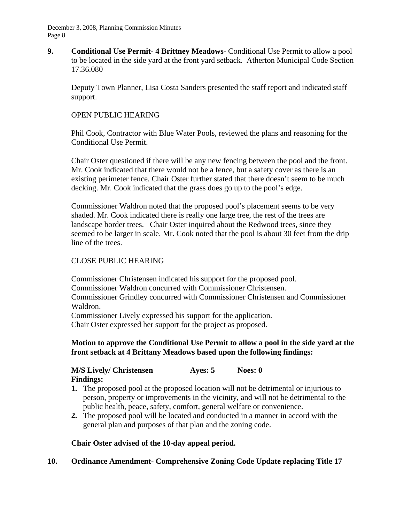**9. Conditional Use Permit- 4 Brittney Meadows-** Conditional Use Permit to allow a pool to be located in the side yard at the front yard setback. Atherton Municipal Code Section 17.36.080

Deputy Town Planner, Lisa Costa Sanders presented the staff report and indicated staff support.

### OPEN PUBLIC HEARING

 Phil Cook, Contractor with Blue Water Pools, reviewed the plans and reasoning for the Conditional Use Permit.

 Chair Oster questioned if there will be any new fencing between the pool and the front. Mr. Cook indicated that there would not be a fence, but a safety cover as there is an existing perimeter fence. Chair Oster further stated that there doesn't seem to be much decking. Mr. Cook indicated that the grass does go up to the pool's edge.

 Commissioner Waldron noted that the proposed pool's placement seems to be very shaded. Mr. Cook indicated there is really one large tree, the rest of the trees are landscape border trees. Chair Oster inquired about the Redwood trees, since they seemed to be larger in scale. Mr. Cook noted that the pool is about 30 feet from the drip line of the trees.

### CLOSE PUBLIC HEARING

 Commissioner Christensen indicated his support for the proposed pool. Commissioner Waldron concurred with Commissioner Christensen. Commissioner Grindley concurred with Commissioner Christensen and Commissioner Waldron.

Commissioner Lively expressed his support for the application.

Chair Oster expressed her support for the project as proposed.

### **Motion to approve the Conditional Use Permit to allow a pool in the side yard at the front setback at 4 Brittany Meadows based upon the following findings:**

# **M/S Lively/ Christensen Ayes: 5 Noes: 0 Findings:**

- **1.** The proposed pool at the proposed location will not be detrimental or injurious to person, property or improvements in the vicinity, and will not be detrimental to the public health, peace, safety, comfort, general welfare or convenience.
- **2.** The proposed pool will be located and conducted in a manner in accord with the general plan and purposes of that plan and the zoning code.

# **Chair Oster advised of the 10-day appeal period.**

# **10. Ordinance Amendment- Comprehensive Zoning Code Update replacing Title 17**